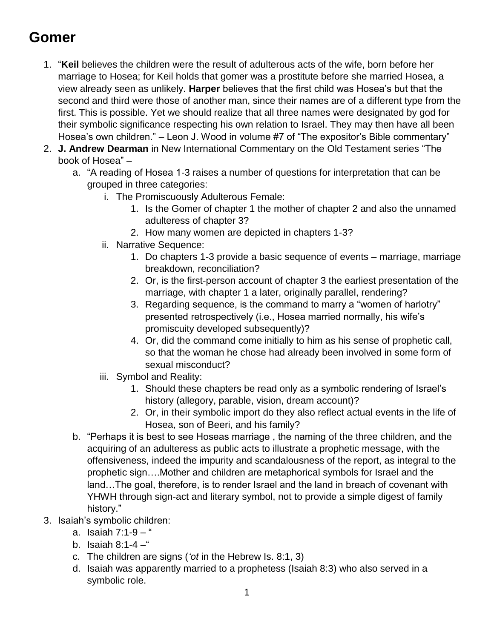## **Gomer**

- 1. "**Keil** believes the children were the result of adulterous acts of the wife, born before her marriage to Hosea; for Keil holds that gomer was a prostitute before she married Hosea, a view already seen as unlikely. **Harper** believes that the first child was Hosea's but that the second and third were those of another man, since their names are of a different type from the first. This is possible. Yet we should realize that all three names were designated by god for their symbolic significance respecting his own relation to Israel. They may then have all been Hosea's own children." – Leon J. Wood in volume #7 of "The expositor's Bible commentary"
- 2. **J. Andrew Dearman** in New International Commentary on the Old Testament series "The book of Hosea" –
	- a. "A reading of Hosea 1-3 raises a number of questions for interpretation that can be grouped in three categories:
		- i. The Promiscuously Adulterous Female:
			- 1. Is the Gomer of chapter 1 the mother of chapter 2 and also the unnamed adulteress of chapter 3?
			- 2. How many women are depicted in chapters 1-3?
		- ii. Narrative Sequence:
			- 1. Do chapters 1-3 provide a basic sequence of events marriage, marriage breakdown, reconciliation?
			- 2. Or, is the first-person account of chapter 3 the earliest presentation of the marriage, with chapter 1 a later, originally parallel, rendering?
			- 3. Regarding sequence, is the command to marry a "women of harlotry" presented retrospectively (i.e., Hosea married normally, his wife's promiscuity developed subsequently)?
			- 4. Or, did the command come initially to him as his sense of prophetic call, so that the woman he chose had already been involved in some form of sexual misconduct?
		- iii. Symbol and Reality:
			- 1. Should these chapters be read only as a symbolic rendering of Israel's history (allegory, parable, vision, dream account)?
			- 2. Or, in their symbolic import do they also reflect actual events in the life of Hosea, son of Beeri, and his family?
	- b. "Perhaps it is best to see Hoseas marriage , the naming of the three children, and the acquiring of an adulteress as public acts to illustrate a prophetic message, with the offensiveness, indeed the impurity and scandalousness of the report, as integral to the prophetic sign….Mother and children are metaphorical symbols for Israel and the land…The goal, therefore, is to render Israel and the land in breach of covenant with YHWH through sign-act and literary symbol, not to provide a simple digest of family history."
- 3. Isaiah's symbolic children:
	- a. Isaiah 7:1-9 "
	- b. Isaiah  $8:1 4 -$ "
	- c. The children are signs (*'ot* in the Hebrew Is. 8:1, 3)
	- d. Isaiah was apparently married to a prophetess (Isaiah 8:3) who also served in a symbolic role.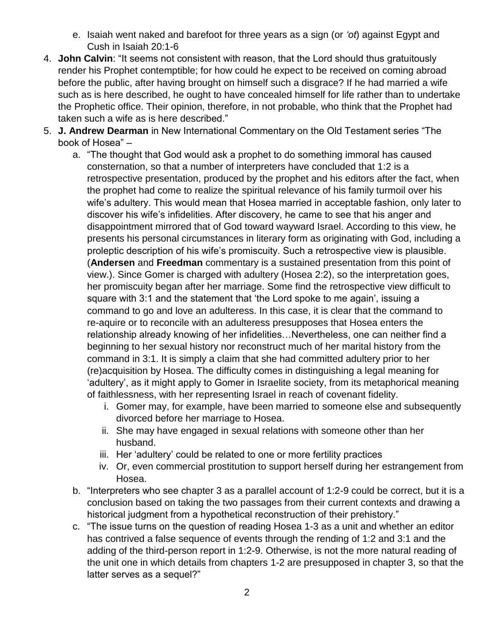- e. Isaiah went naked and barefoot for three years as a sign (or *'ot*) against Egypt and Cush in Isaiah 20:1-6
- 4. **John Calvin**: "It seems not consistent with reason, that the Lord should thus gratuitously render his Prophet contemptible; for how could he expect to be received on coming abroad before the public, after having brought on himself such a disgrace? If he had married a wife such as is here described, he ought to have concealed himself for life rather than to undertake the Prophetic office. Their opinion, therefore, in not probable, who think that the Prophet had taken such a wife as is here described."
- 5. **J. Andrew Dearman** in New International Commentary on the Old Testament series "The book of Hosea" –
	- a. "The thought that God would ask a prophet to do something immoral has caused consternation, so that a number of interpreters have concluded that 1:2 is a retrospective presentation, produced by the prophet and his editors after the fact, when the prophet had come to realize the spiritual relevance of his family turmoil over his wife's adultery. This would mean that Hosea married in acceptable fashion, only later to discover his wife's infidelities. After discovery, he came to see that his anger and disappointment mirrored that of God toward wayward Israel. According to this view, he presents his personal circumstances in literary form as originating with God, including a proleptic description of his wife's promiscuity. Such a retrospective view is plausible. (**Andersen** and **Freedman** commentary is a sustained presentation from this point of view.). Since Gomer is charged with adultery (Hosea 2:2), so the interpretation goes, her promiscuity began after her marriage. Some find the retrospective view difficult to square with 3:1 and the statement that 'the Lord spoke to me again', issuing a command to go and love an adulteress. In this case, it is clear that the command to re-aquire or to reconcile with an adulteress presupposes that Hosea enters the relationship already knowing of her infidelities…Nevertheless, one can neither find a beginning to her sexual history nor reconstruct much of her marital history from the command in 3:1. It is simply a claim that she had committed adultery prior to her (re)acquisition by Hosea. The difficulty comes in distinguishing a legal meaning for 'adultery', as it might apply to Gomer in Israelite society, from its metaphorical meaning of faithlessness, with her representing Israel in reach of covenant fidelity.
		- i. Gomer may, for example, have been married to someone else and subsequently divorced before her marriage to Hosea.
		- ii. She may have engaged in sexual relations with someone other than her husband.
		- iii. Her 'adultery' could be related to one or more fertility practices
		- iv. Or, even commercial prostitution to support herself during her estrangement from Hosea.
	- b. "Interpreters who see chapter 3 as a parallel account of 1:2-9 could be correct, but it is a conclusion based on taking the two passages from their current contexts and drawing a historical judgment from a hypothetical reconstruction of their prehistory."
	- c. "The issue turns on the question of reading Hosea 1-3 as a unit and whether an editor has contrived a false sequence of events through the rending of 1:2 and 3:1 and the adding of the third-person report in 1:2-9. Otherwise, is not the more natural reading of the unit one in which details from chapters 1-2 are presupposed in chapter 3, so that the latter serves as a sequel?"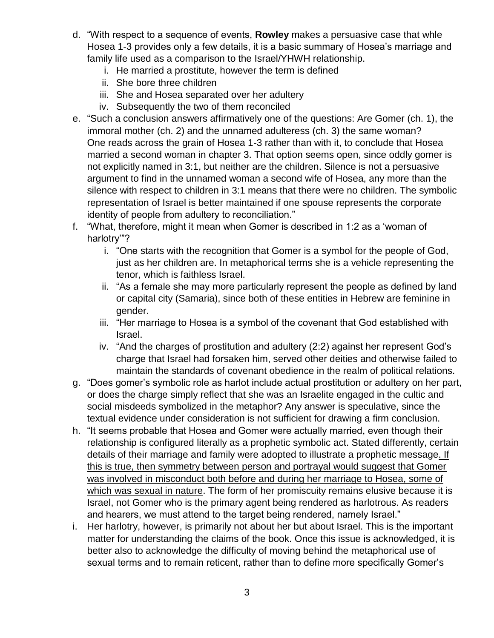- d. "With respect to a sequence of events, **Rowley** makes a persuasive case that whle Hosea 1-3 provides only a few details, it is a basic summary of Hosea's marriage and family life used as a comparison to the Israel/YHWH relationship.
	- i. He married a prostitute, however the term is defined
	- ii. She bore three children
	- iii. She and Hosea separated over her adultery
	- iv. Subsequently the two of them reconciled
- e. "Such a conclusion answers affirmatively one of the questions: Are Gomer (ch. 1), the immoral mother (ch. 2) and the unnamed adulteress (ch. 3) the same woman? One reads across the grain of Hosea 1-3 rather than with it, to conclude that Hosea married a second woman in chapter 3. That option seems open, since oddly gomer is not explicitly named in 3:1, but neither are the children. Silence is not a persuasive argument to find in the unnamed woman a second wife of Hosea, any more than the silence with respect to children in 3:1 means that there were no children. The symbolic representation of Israel is better maintained if one spouse represents the corporate identity of people from adultery to reconciliation."
- f. "What, therefore, might it mean when Gomer is described in 1:2 as a 'woman of harlotry'"?
	- i. "One starts with the recognition that Gomer is a symbol for the people of God, just as her children are. In metaphorical terms she is a vehicle representing the tenor, which is faithless Israel.
	- ii. "As a female she may more particularly represent the people as defined by land or capital city (Samaria), since both of these entities in Hebrew are feminine in gender.
	- iii. "Her marriage to Hosea is a symbol of the covenant that God established with Israel.
	- iv. "And the charges of prostitution and adultery (2:2) against her represent God's charge that Israel had forsaken him, served other deities and otherwise failed to maintain the standards of covenant obedience in the realm of political relations.
- g. "Does gomer's symbolic role as harlot include actual prostitution or adultery on her part, or does the charge simply reflect that she was an Israelite engaged in the cultic and social misdeeds symbolized in the metaphor? Any answer is speculative, since the textual evidence under consideration is not sufficient for drawing a firm conclusion.
- h. "It seems probable that Hosea and Gomer were actually married, even though their relationship is configured literally as a prophetic symbolic act. Stated differently, certain details of their marriage and family were adopted to illustrate a prophetic message. If this is true, then symmetry between person and portrayal would suggest that Gomer was involved in misconduct both before and during her marriage to Hosea, some of which was sexual in nature. The form of her promiscuity remains elusive because it is Israel, not Gomer who is the primary agent being rendered as harlotrous. As readers and hearers, we must attend to the target being rendered, namely Israel."
- i. Her harlotry, however, is primarily not about her but about Israel. This is the important matter for understanding the claims of the book. Once this issue is acknowledged, it is better also to acknowledge the difficulty of moving behind the metaphorical use of sexual terms and to remain reticent, rather than to define more specifically Gomer's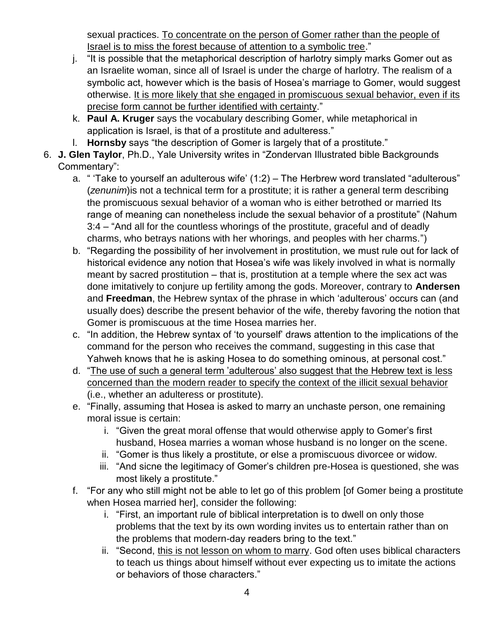sexual practices. To concentrate on the person of Gomer rather than the people of Israel is to miss the forest because of attention to a symbolic tree."

- j. "It is possible that the metaphorical description of harlotry simply marks Gomer out as an Israelite woman, since all of Israel is under the charge of harlotry. The realism of a symbolic act, however which is the basis of Hosea's marriage to Gomer, would suggest otherwise. It is more likely that she engaged in promiscuous sexual behavior, even if its precise form cannot be further identified with certainty."
- k. **Paul A. Kruger** says the vocabulary describing Gomer, while metaphorical in application is Israel, is that of a prostitute and adulteress."
- l. **Hornsby** says "the description of Gomer is largely that of a prostitute."
- 6. **J. Glen Taylor**, Ph.D., Yale University writes in "Zondervan Illustrated bible Backgrounds Commentary":
	- a. " 'Take to yourself an adulterous wife' (1:2) The Herbrew word translated "adulterous" (*zenunim*)is not a technical term for a prostitute; it is rather a general term describing the promiscuous sexual behavior of a woman who is either betrothed or married Its range of meaning can nonetheless include the sexual behavior of a prostitute" (Nahum 3:4 – "And all for the countless whorings of the prostitute, graceful and of deadly charms, who betrays nations with her whorings, and peoples with her charms.")
	- b. "Regarding the possibility of her involvement in prostitution, we must rule out for lack of historical evidence any notion that Hosea's wife was likely involved in what is normally meant by sacred prostitution – that is, prostitution at a temple where the sex act was done imitatively to conjure up fertility among the gods. Moreover, contrary to **Andersen** and **Freedman**, the Hebrew syntax of the phrase in which 'adulterous' occurs can (and usually does) describe the present behavior of the wife, thereby favoring the notion that Gomer is promiscuous at the time Hosea marries her.
	- c. "In addition, the Hebrew syntax of 'to yourself' draws attention to the implications of the command for the person who receives the command, suggesting in this case that Yahweh knows that he is asking Hosea to do something ominous, at personal cost."
	- d. "The use of such a general term 'adulterous' also suggest that the Hebrew text is less concerned than the modern reader to specify the context of the illicit sexual behavior (i.e., whether an adulteress or prostitute).
	- e. "Finally, assuming that Hosea is asked to marry an unchaste person, one remaining moral issue is certain:
		- i. "Given the great moral offense that would otherwise apply to Gomer's first husband, Hosea marries a woman whose husband is no longer on the scene.
		- ii. "Gomer is thus likely a prostitute, or else a promiscuous divorcee or widow.
		- iii. "And sicne the legitimacy of Gomer's children pre-Hosea is questioned, she was most likely a prostitute."
	- f. "For any who still might not be able to let go of this problem [of Gomer being a prostitute when Hosea married her], consider the following:
		- i. "First, an important rule of biblical interpretation is to dwell on only those problems that the text by its own wording invites us to entertain rather than on the problems that modern-day readers bring to the text."
		- ii. "Second, this is not lesson on whom to marry. God often uses biblical characters to teach us things about himself without ever expecting us to imitate the actions or behaviors of those characters."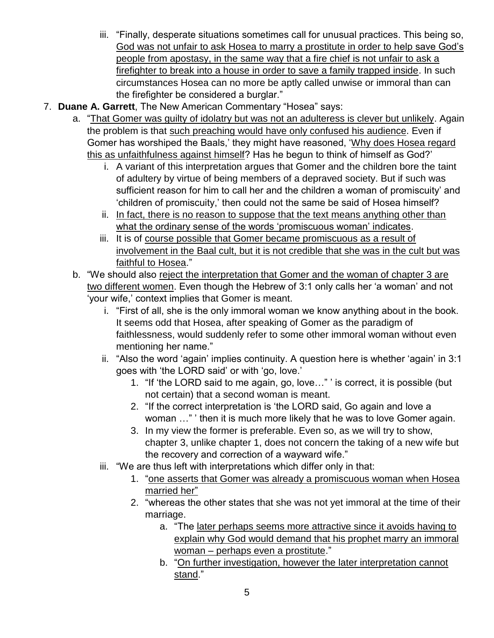- iii. "Finally, desperate situations sometimes call for unusual practices. This being so, God was not unfair to ask Hosea to marry a prostitute in order to help save God's people from apostasy, in the same way that a fire chief is not unfair to ask a firefighter to break into a house in order to save a family trapped inside. In such circumstances Hosea can no more be aptly called unwise or immoral than can the firefighter be considered a burglar."
- 7. **Duane A. Garrett**, The New American Commentary "Hosea" says:
	- a. "That Gomer was guilty of idolatry but was not an adulteress is clever but unlikely. Again the problem is that such preaching would have only confused his audience. Even if Gomer has worshiped the Baals,' they might have reasoned, 'Why does Hosea regard this as unfaithfulness against himself? Has he begun to think of himself as God?'
		- i. A variant of this interpretation argues that Gomer and the children bore the taint of adultery by virtue of being members of a depraved society. But if such was sufficient reason for him to call her and the children a woman of promiscuity' and 'children of promiscuity,' then could not the same be said of Hosea himself?
		- ii. In fact, there is no reason to suppose that the text means anything other than what the ordinary sense of the words 'promiscuous woman' indicates.
		- iii. It is of course possible that Gomer became promiscuous as a result of involvement in the Baal cult, but it is not credible that she was in the cult but was faithful to Hosea."
	- b. "We should also reject the interpretation that Gomer and the woman of chapter 3 are two different women. Even though the Hebrew of 3:1 only calls her 'a woman' and not 'your wife,' context implies that Gomer is meant.
		- i. "First of all, she is the only immoral woman we know anything about in the book. It seems odd that Hosea, after speaking of Gomer as the paradigm of faithlessness, would suddenly refer to some other immoral woman without even mentioning her name."
		- ii. "Also the word 'again' implies continuity. A question here is whether 'again' in 3:1 goes with 'the LORD said' or with 'go, love.'
			- 1. "If 'the LORD said to me again, go, love…" ' is correct, it is possible (but not certain) that a second woman is meant.
			- 2. "If the correct interpretation is 'the LORD said, Go again and love a woman …" ' then it is much more likely that he was to love Gomer again.
			- 3. In my view the former is preferable. Even so, as we will try to show, chapter 3, unlike chapter 1, does not concern the taking of a new wife but the recovery and correction of a wayward wife."
		- iii. "We are thus left with interpretations which differ only in that:
			- 1. "one asserts that Gomer was already a promiscuous woman when Hosea married her"
			- 2. "whereas the other states that she was not yet immoral at the time of their marriage.
				- a. "The later perhaps seems more attractive since it avoids having to explain why God would demand that his prophet marry an immoral woman – perhaps even a prostitute."
				- b. "On further investigation, however the later interpretation cannot stand."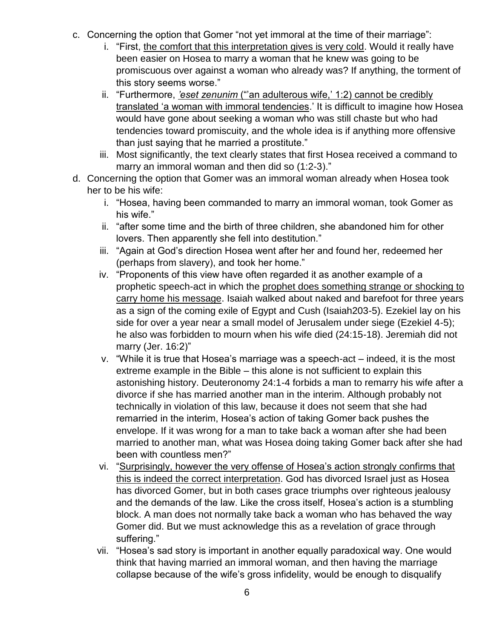- c. Concerning the option that Gomer "not yet immoral at the time of their marriage":
	- i. "First, the comfort that this interpretation gives is very cold. Would it really have been easier on Hosea to marry a woman that he knew was going to be promiscuous over against a woman who already was? If anything, the torment of this story seems worse."
	- ii. "Furthermore, *'eset zenunim* ("'an adulterous wife,' 1:2) cannot be credibly translated 'a woman with immoral tendencies.' It is difficult to imagine how Hosea would have gone about seeking a woman who was still chaste but who had tendencies toward promiscuity, and the whole idea is if anything more offensive than just saying that he married a prostitute."
	- iii. Most significantly, the text clearly states that first Hosea received a command to marry an immoral woman and then did so (1:2-3)."
- d. Concerning the option that Gomer was an immoral woman already when Hosea took her to be his wife:
	- i. "Hosea, having been commanded to marry an immoral woman, took Gomer as his wife."
	- ii. "after some time and the birth of three children, she abandoned him for other lovers. Then apparently she fell into destitution."
	- iii. "Again at God's direction Hosea went after her and found her, redeemed her (perhaps from slavery), and took her home."
	- iv. "Proponents of this view have often regarded it as another example of a prophetic speech-act in which the prophet does something strange or shocking to carry home his message. Isaiah walked about naked and barefoot for three years as a sign of the coming exile of Egypt and Cush (Isaiah203-5). Ezekiel lay on his side for over a year near a small model of Jerusalem under siege (Ezekiel 4-5); he also was forbidden to mourn when his wife died (24:15-18). Jeremiah did not marry (Jer. 16:2)"
	- v. "While it is true that Hosea's marriage was a speech-act indeed, it is the most extreme example in the Bible – this alone is not sufficient to explain this astonishing history. Deuteronomy 24:1-4 forbids a man to remarry his wife after a divorce if she has married another man in the interim. Although probably not technically in violation of this law, because it does not seem that she had remarried in the interim, Hosea's action of taking Gomer back pushes the envelope. If it was wrong for a man to take back a woman after she had been married to another man, what was Hosea doing taking Gomer back after she had been with countless men?"
	- vi. "Surprisingly, however the very offense of Hosea's action strongly confirms that this is indeed the correct interpretation. God has divorced Israel just as Hosea has divorced Gomer, but in both cases grace triumphs over righteous jealousy and the demands of the law. Like the cross itself, Hosea's action is a stumbling block. A man does not normally take back a woman who has behaved the way Gomer did. But we must acknowledge this as a revelation of grace through suffering."
	- vii. "Hosea's sad story is important in another equally paradoxical way. One would think that having married an immoral woman, and then having the marriage collapse because of the wife's gross infidelity, would be enough to disqualify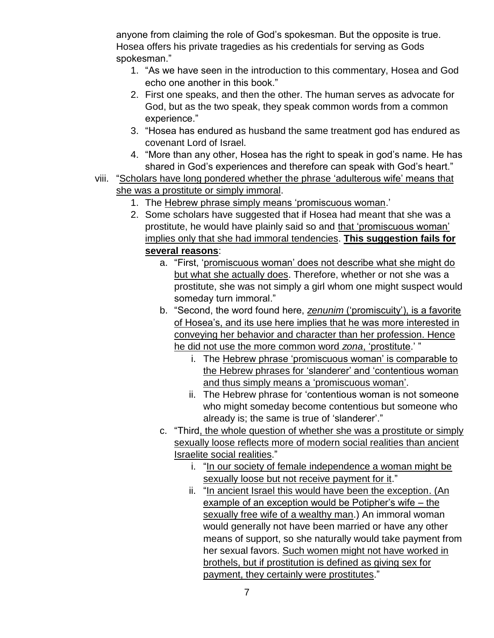anyone from claiming the role of God's spokesman. But the opposite is true. Hosea offers his private tragedies as his credentials for serving as Gods spokesman."

- 1. "As we have seen in the introduction to this commentary, Hosea and God echo one another in this book."
- 2. First one speaks, and then the other. The human serves as advocate for God, but as the two speak, they speak common words from a common experience."
- 3. "Hosea has endured as husband the same treatment god has endured as covenant Lord of Israel.
- 4. "More than any other, Hosea has the right to speak in god's name. He has shared in God's experiences and therefore can speak with God's heart."
- viii. "Scholars have long pondered whether the phrase 'adulterous wife' means that she was a prostitute or simply immoral.
	- 1. The Hebrew phrase simply means 'promiscuous woman.'
	- 2. Some scholars have suggested that if Hosea had meant that she was a prostitute, he would have plainly said so and that 'promiscuous woman' implies only that she had immoral tendencies. **This suggestion fails for several reasons**:
		- a. "First, 'promiscuous woman' does not describe what she might do but what she actually does. Therefore, whether or not she was a prostitute, she was not simply a girl whom one might suspect would someday turn immoral."
		- b. "Second, the word found here, *zenunim* ('promiscuity'), is a favorite of Hosea's, and its use here implies that he was more interested in conveying her behavior and character than her profession. Hence he did not use the more common word *zona*, 'prostitute.' "
			- i. The Hebrew phrase 'promiscuous woman' is comparable to the Hebrew phrases for 'slanderer' and 'contentious woman and thus simply means a 'promiscuous woman'.
			- ii. The Hebrew phrase for 'contentious woman is not someone who might someday become contentious but someone who already is; the same is true of 'slanderer'."
		- c. "Third, the whole question of whether she was a prostitute or simply sexually loose reflects more of modern social realities than ancient Israelite social realities."
			- i. "In our society of female independence a woman might be sexually loose but not receive payment for it."
			- ii. "In ancient Israel this would have been the exception. (An example of an exception would be Potipher's wife – the sexually free wife of a wealthy man.) An immoral woman would generally not have been married or have any other means of support, so she naturally would take payment from her sexual favors. Such women might not have worked in brothels, but if prostitution is defined as giving sex for payment, they certainly were prostitutes."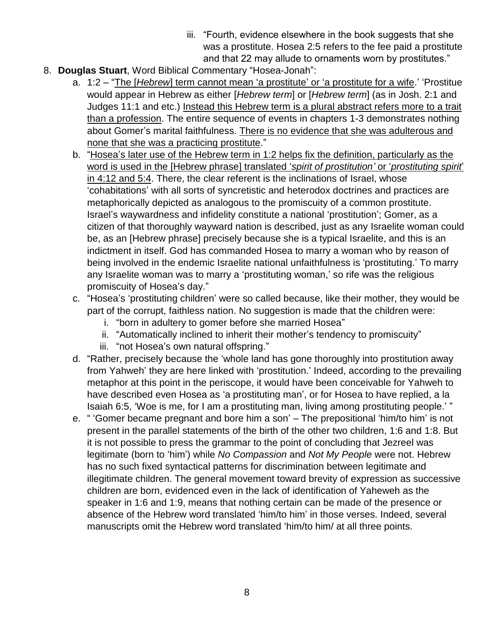- iii. "Fourth, evidence elsewhere in the book suggests that she was a prostitute. Hosea 2:5 refers to the fee paid a prostitute and that 22 may allude to ornaments worn by prostitutes."
- 8. **Douglas Stuart**, Word Biblical Commentary "Hosea-Jonah":
	- a. 1:2 "The [*Hebrew*] term cannot mean 'a prostitute' or 'a prostitute for a wife.' 'Prostitue would appear in Hebrew as either [*Hebrew term*] or [*Hebrew term*] (as in Josh. 2:1 and Judges 11:1 and etc.) Instead this Hebrew term is a plural abstract refers more to a trait than a profession. The entire sequence of events in chapters 1-3 demonstrates nothing about Gomer's marital faithfulness. There is no evidence that she was adulterous and none that she was a practicing prostitute."
	- b. "Hosea's later use of the Hebrew term in 1:2 helps fix the definition, particularly as the word is used in the [Hebrew phrase] translated '*spirit of prostitution'* or '*prostituting spirit*' in 4:12 and 5:4. There, the clear referent is the inclinations of Israel, whose 'cohabitations' with all sorts of syncretistic and heterodox doctrines and practices are metaphorically depicted as analogous to the promiscuity of a common prostitute. Israel's waywardness and infidelity constitute a national 'prostitution'; Gomer, as a citizen of that thoroughly wayward nation is described, just as any Israelite woman could be, as an [Hebrew phrase] precisely because she is a typical Israelite, and this is an indictment in itself. God has commanded Hosea to marry a woman who by reason of being involved in the endemic Israelite national unfaithfulness is 'prostituting.' To marry any Israelite woman was to marry a 'prostituting woman,' so rife was the religious promiscuity of Hosea's day."
	- c. "Hosea's 'prostituting children' were so called because, like their mother, they would be part of the corrupt, faithless nation. No suggestion is made that the children were:
		- i. "born in adultery to gomer before she married Hosea"
		- ii. "Automatically inclined to inherit their mother's tendency to promiscuity"
		- iii. "not Hosea's own natural offspring."
	- d. "Rather, precisely because the 'whole land has gone thoroughly into prostitution away from Yahweh' they are here linked with 'prostitution.' Indeed, according to the prevailing metaphor at this point in the periscope, it would have been conceivable for Yahweh to have described even Hosea as 'a prostituting man', or for Hosea to have replied, a la Isaiah 6:5, 'Woe is me, for I am a prostituting man, living among prostituting people.' "
	- e. " 'Gomer became pregnant and bore him a son' The prepositional 'him/to him' is not present in the parallel statements of the birth of the other two children, 1:6 and 1:8. But it is not possible to press the grammar to the point of concluding that Jezreel was legitimate (born to 'him') while *No Compassion* and *Not My People* were not. Hebrew has no such fixed syntactical patterns for discrimination between legitimate and illegitimate children. The general movement toward brevity of expression as successive children are born, evidenced even in the lack of identification of Yaheweh as the speaker in 1:6 and 1:9, means that nothing certain can be made of the presence or absence of the Hebrew word translated 'him/to him' in those verses. Indeed, several manuscripts omit the Hebrew word translated 'him/to him/ at all three points.